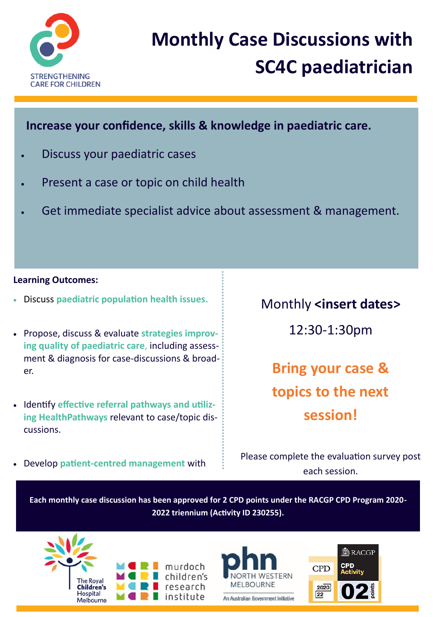

# **Monthly Case Discussions with SC4C paediatrician**

**Increase your confidence, skills & knowledge in paediatric care.** 

- Discuss your paediatric cases
- Present a case or topic on child health
- Get immediate specialist advice about assessment & management.

#### **Learning Outcomes:**

- Discuss **paediatric population health issues.**
- Propose, discuss & evaluate **strategies improving quality of paediatric care**, including assessment & diagnosis for case-discussions & broader.
- **Identify effective referral pathways and utilizing HealthPathways** relevant to case/topic discussions.

Develop **patient-centred management** with

Monthly **<insert dates>**

12:30-1:30pm

**Bring your case & topics to the next session!**

Please complete the evaluation survey post each session.

**Each monthly case discussion has been approved for 2 CPD points under the RACGP CPD Program 2020- 2022 triennium (Activity ID 230255).**